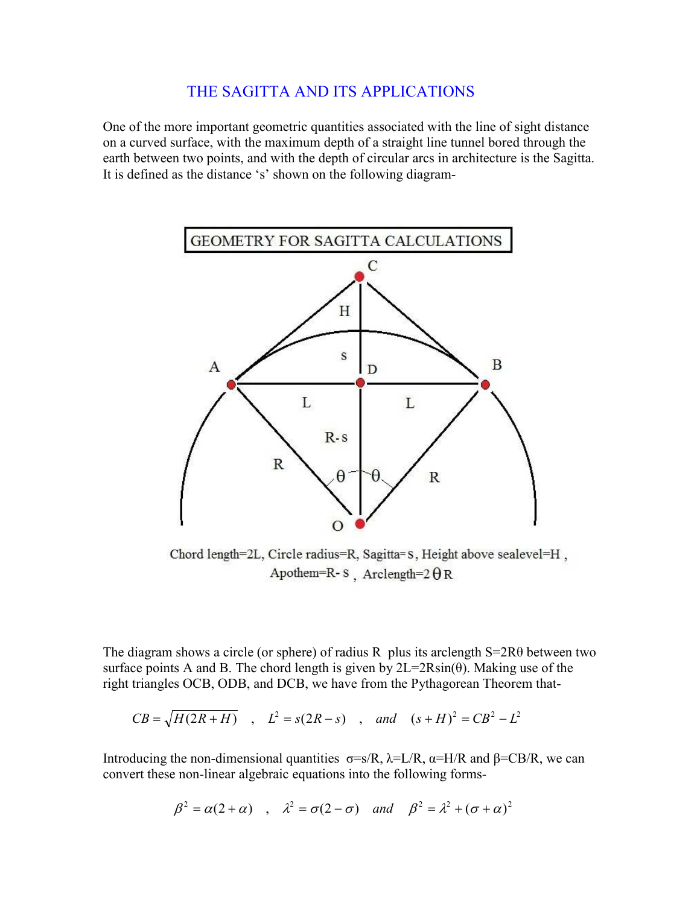## THE SAGITTA AND ITS APPLICATIONS

One of the more important geometric quantities associated with the line of sight distance on a curved surface, with the maximum depth of a straight line tunnel bored through the earth between two points, and with the depth of circular arcs in architecture is the Sagitta. It is defined as the distance 's' shown on the following diagram-



Chord length=2L, Circle radius=R, Sagitta=S, Height above sealevel=H, Apothem=R-S Arclength= $2 \theta R$ 

l The diagram shows a circle (or sphere) of radius R plus its arclength S=2Rθ between two surface points A and B. The chord length is given by  $2L=2R\sin(\theta)$ . Making use of the right triangles OCB, ODB, and DCB, we have from the Pythagorean Theorem that-

$$
CB = \sqrt{H(2R+H)}
$$
,  $L^2 = s(2R-s)$ , and  $(s+H)^2 = CB^2 - L^2$ 

Introducing the non-dimensional quantities  $\sigma = s/R$ ,  $\lambda = L/R$ ,  $\alpha = H/R$  and  $\beta = CB/R$ , we can convert these non-linear algebraic equations into the following forms-

$$
\beta^2 = \alpha(2+\alpha) \quad , \quad \lambda^2 = \sigma(2-\sigma) \quad and \quad \beta^2 = \lambda^2 + (\sigma + \alpha)^2
$$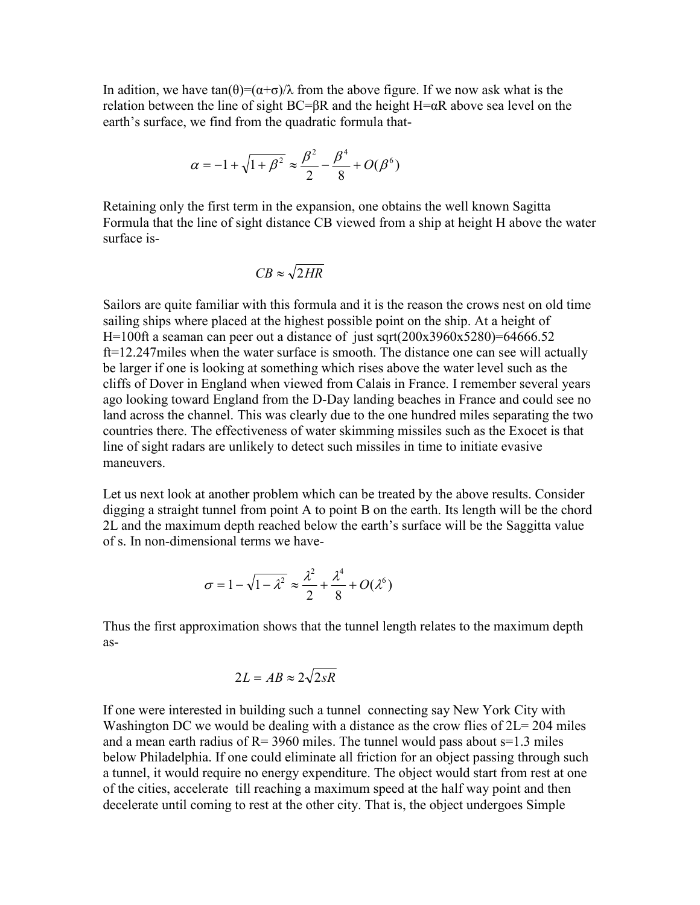In adition, we have  $tan(\theta) = (\alpha + \sigma)/\lambda$  from the above figure. If we now ask what is the relation between the line of sight  $BC=BR$  and the height  $H=\alpha R$  above sea level on the earth's surface, we find from the quadratic formula that-

$$
\alpha = -1 + \sqrt{1 + \beta^2} \approx \frac{\beta^2}{2} - \frac{\beta^4}{8} + O(\beta^6)
$$

Retaining only the first term in the expansion, one obtains the well known Sagitta Formula that the line of sight distance CB viewed from a ship at height H above the water surface is-

$$
CB \approx \sqrt{2HR}
$$

Sailors are quite familiar with this formula and it is the reason the crows nest on old time sailing ships where placed at the highest possible point on the ship. At a height of H=100ft a seaman can peer out a distance of just sqrt( $200x3960x5280$ )=64666.52 ft=12.247miles when the water surface is smooth. The distance one can see will actually be larger if one is looking at something which rises above the water level such as the cliffs of Dover in England when viewed from Calais in France. I remember several years ago looking toward England from the D-Day landing beaches in France and could see no land across the channel. This was clearly due to the one hundred miles separating the two countries there. The effectiveness of water skimming missiles such as the Exocet is that line of sight radars are unlikely to detect such missiles in time to initiate evasive maneuvers.

Let us next look at another problem which can be treated by the above results. Consider digging a straight tunnel from point A to point B on the earth. Its length will be the chord 2L and the maximum depth reached below the earth's surface will be the Saggitta value of s. In non-dimensional terms we have-

$$
\sigma = 1 - \sqrt{1 - \lambda^2} \approx \frac{\lambda^2}{2} + \frac{\lambda^4}{8} + O(\lambda^6)
$$

Thus the first approximation shows that the tunnel length relates to the maximum depth as-

$$
2L = AB \approx 2\sqrt{2sR}
$$

If one were interested in building such a tunnel connecting say New York City with Washington DC we would be dealing with a distance as the crow flies of  $2L = 204$  miles and a mean earth radius of  $R = 3960$  miles. The tunnel would pass about  $s=1.3$  miles below Philadelphia. If one could eliminate all friction for an object passing through such a tunnel, it would require no energy expenditure. The object would start from rest at one of the cities, accelerate till reaching a maximum speed at the half way point and then decelerate until coming to rest at the other city. That is, the object undergoes Simple